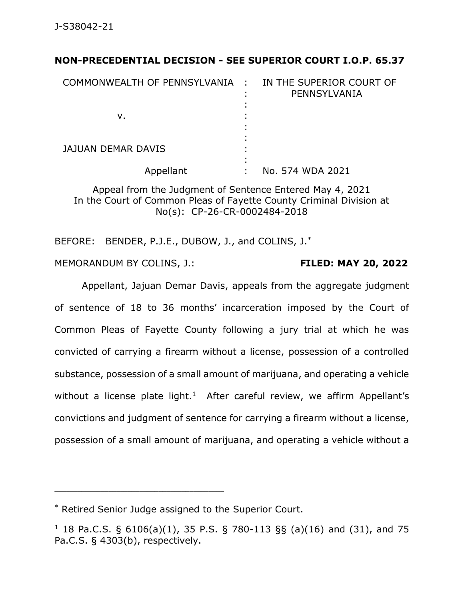## **NON-PRECEDENTIAL DECISION - SEE SUPERIOR COURT I.O.P. 65.37**

| COMMONWEALTH OF PENNSYLVANIA : | IN THE SUPERIOR COURT OF<br>PENNSYLVANIA |
|--------------------------------|------------------------------------------|
| ν.                             |                                          |
| <b>JAJUAN DEMAR DAVIS</b>      |                                          |
| Appellant                      | No. 574 WDA 2021                         |

Appeal from the Judgment of Sentence Entered May 4, 2021 In the Court of Common Pleas of Fayette County Criminal Division at No(s): CP-26-CR-0002484-2018

BEFORE: BENDER, P.J.E., DUBOW, J., and COLINS, J.<sup>\*</sup>

MEMORANDUM BY COLINS, J.: **FILED: MAY 20, 2022**

Appellant, Jajuan Demar Davis, appeals from the aggregate judgment of sentence of 18 to 36 months' incarceration imposed by the Court of Common Pleas of Fayette County following a jury trial at which he was convicted of carrying a firearm without a license, possession of a controlled substance, possession of a small amount of marijuana, and operating a vehicle without a license plate light.<sup>1</sup> After careful review, we affirm Appellant's convictions and judgment of sentence for carrying a firearm without a license, possession of a small amount of marijuana, and operating a vehicle without a

<sup>\*</sup> Retired Senior Judge assigned to the Superior Court.

<sup>&</sup>lt;sup>1</sup> 18 Pa.C.S. § 6106(a)(1), 35 P.S. § 780-113 §§ (a)(16) and (31), and 75 Pa.C.S. § 4303(b), respectively.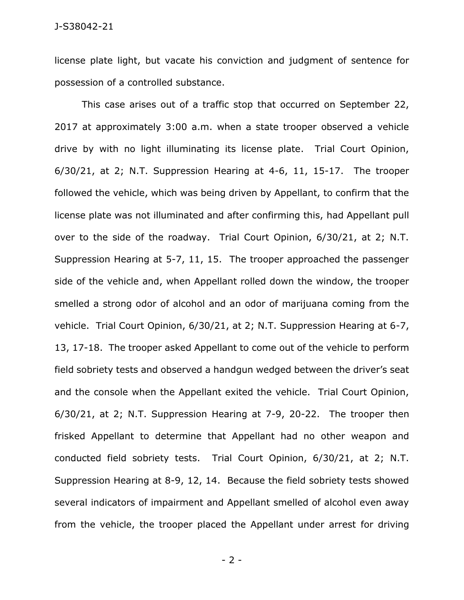license plate light, but vacate his conviction and judgment of sentence for possession of a controlled substance.

This case arises out of a traffic stop that occurred on September 22, 2017 at approximately 3:00 a.m. when a state trooper observed a vehicle drive by with no light illuminating its license plate. Trial Court Opinion, 6/30/21, at 2; N.T. Suppression Hearing at 4-6, 11, 15-17. The trooper followed the vehicle, which was being driven by Appellant, to confirm that the license plate was not illuminated and after confirming this, had Appellant pull over to the side of the roadway. Trial Court Opinion, 6/30/21, at 2; N.T. Suppression Hearing at 5-7, 11, 15. The trooper approached the passenger side of the vehicle and, when Appellant rolled down the window, the trooper smelled a strong odor of alcohol and an odor of marijuana coming from the vehicle. Trial Court Opinion, 6/30/21, at 2; N.T. Suppression Hearing at 6-7, 13, 17-18. The trooper asked Appellant to come out of the vehicle to perform field sobriety tests and observed a handgun wedged between the driver's seat and the console when the Appellant exited the vehicle. Trial Court Opinion, 6/30/21, at 2; N.T. Suppression Hearing at 7-9, 20-22. The trooper then frisked Appellant to determine that Appellant had no other weapon and conducted field sobriety tests. Trial Court Opinion, 6/30/21, at 2; N.T. Suppression Hearing at 8-9, 12, 14. Because the field sobriety tests showed several indicators of impairment and Appellant smelled of alcohol even away from the vehicle, the trooper placed the Appellant under arrest for driving

- 2 -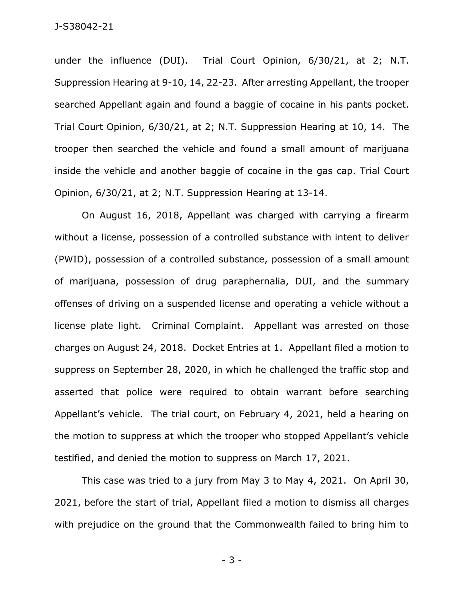under the influence (DUI). Trial Court Opinion, 6/30/21, at 2; N.T. Suppression Hearing at 9-10, 14, 22-23. After arresting Appellant, the trooper searched Appellant again and found a baggie of cocaine in his pants pocket. Trial Court Opinion, 6/30/21, at 2; N.T. Suppression Hearing at 10, 14. The trooper then searched the vehicle and found a small amount of marijuana inside the vehicle and another baggie of cocaine in the gas cap. Trial Court Opinion, 6/30/21, at 2; N.T. Suppression Hearing at 13-14.

On August 16, 2018, Appellant was charged with carrying a firearm without a license, possession of a controlled substance with intent to deliver (PWID), possession of a controlled substance, possession of a small amount of marijuana, possession of drug paraphernalia, DUI, and the summary offenses of driving on a suspended license and operating a vehicle without a license plate light. Criminal Complaint. Appellant was arrested on those charges on August 24, 2018. Docket Entries at 1. Appellant filed a motion to suppress on September 28, 2020, in which he challenged the traffic stop and asserted that police were required to obtain warrant before searching Appellant's vehicle. The trial court, on February 4, 2021, held a hearing on the motion to suppress at which the trooper who stopped Appellant's vehicle testified, and denied the motion to suppress on March 17, 2021.

This case was tried to a jury from May 3 to May 4, 2021. On April 30, 2021, before the start of trial, Appellant filed a motion to dismiss all charges with prejudice on the ground that the Commonwealth failed to bring him to

- 3 -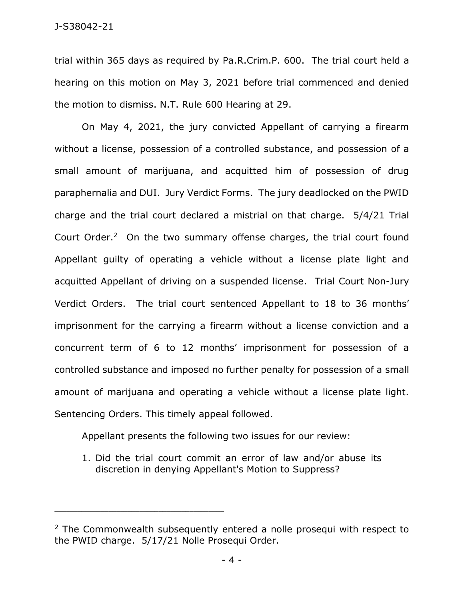trial within 365 days as required by Pa.R.Crim.P. 600. The trial court held a hearing on this motion on May 3, 2021 before trial commenced and denied the motion to dismiss. N.T. Rule 600 Hearing at 29.

On May 4, 2021, the jury convicted Appellant of carrying a firearm without a license, possession of a controlled substance, and possession of a small amount of marijuana, and acquitted him of possession of drug paraphernalia and DUI. Jury Verdict Forms. The jury deadlocked on the PWID charge and the trial court declared a mistrial on that charge. 5/4/21 Trial Court Order.<sup>2</sup> On the two summary offense charges, the trial court found Appellant guilty of operating a vehicle without a license plate light and acquitted Appellant of driving on a suspended license. Trial Court Non-Jury Verdict Orders. The trial court sentenced Appellant to 18 to 36 months' imprisonment for the carrying a firearm without a license conviction and a concurrent term of 6 to 12 months' imprisonment for possession of a controlled substance and imposed no further penalty for possession of a small amount of marijuana and operating a vehicle without a license plate light. Sentencing Orders. This timely appeal followed.

Appellant presents the following two issues for our review:

\_\_\_\_\_\_\_\_\_\_\_\_\_\_\_\_\_\_\_\_\_\_\_\_\_\_\_\_\_\_\_\_\_\_\_\_\_\_\_\_\_\_\_\_

1. Did the trial court commit an error of law and/or abuse its discretion in denying Appellant's Motion to Suppress?

<sup>&</sup>lt;sup>2</sup> The Commonwealth subsequently entered a nolle prosequi with respect to the PWID charge. 5/17/21 Nolle Prosequi Order.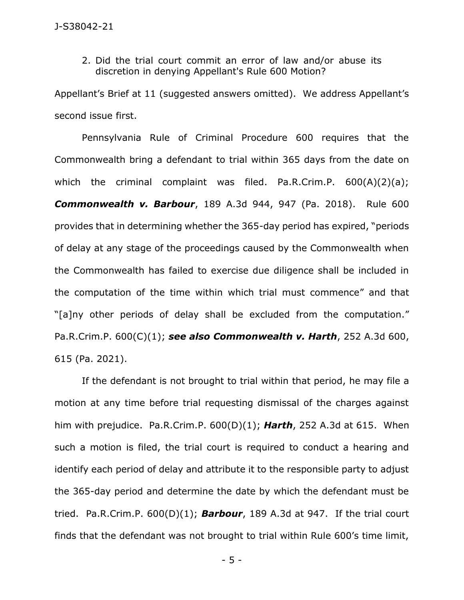2. Did the trial court commit an error of law and/or abuse its discretion in denying Appellant's Rule 600 Motion?

Appellant's Brief at 11 (suggested answers omitted). We address Appellant's second issue first.

Pennsylvania Rule of Criminal Procedure 600 requires that the Commonwealth bring a defendant to trial within 365 days from the date on which the criminal complaint was filed. Pa.R.Crim.P. 600(A)(2)(a); *Commonwealth v. Barbour*, 189 A.3d 944, 947 (Pa. 2018). Rule 600 provides that in determining whether the 365-day period has expired, "periods of delay at any stage of the proceedings caused by the Commonwealth when the Commonwealth has failed to exercise due diligence shall be included in the computation of the time within which trial must commence" and that "[a]ny other periods of delay shall be excluded from the computation." Pa.R.Crim.P. 600(C)(1); *see also Commonwealth v. Harth*, 252 A.3d 600, 615 (Pa. 2021).

If the defendant is not brought to trial within that period, he may file a motion at any time before trial requesting dismissal of the charges against him with prejudice. Pa.R.Crim.P. 600(D)(1); *Harth*, 252 A.3d at 615. When such a motion is filed, the trial court is required to conduct a hearing and identify each period of delay and attribute it to the responsible party to adjust the 365-day period and determine the date by which the defendant must be tried. Pa.R.Crim.P. 600(D)(1); *Barbour*, 189 A.3d at 947. If the trial court finds that the defendant was not brought to trial within Rule 600's time limit,

- 5 -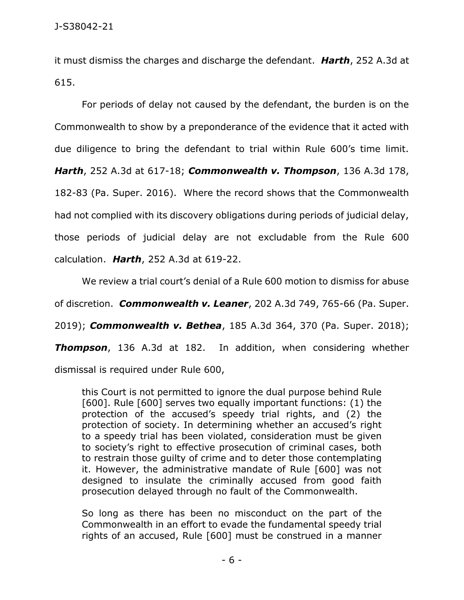it must dismiss the charges and discharge the defendant. *Harth*, 252 A.3d at 615.

For periods of delay not caused by the defendant, the burden is on the Commonwealth to show by a preponderance of the evidence that it acted with due diligence to bring the defendant to trial within Rule 600's time limit. *Harth*, 252 A.3d at 617-18; *Commonwealth v. Thompson*, 136 A.3d 178, 182-83 (Pa. Super. 2016). Where the record shows that the Commonwealth had not complied with its discovery obligations during periods of judicial delay, those periods of judicial delay are not excludable from the Rule 600 calculation. *Harth*, 252 A.3d at 619-22.

We review a trial court's denial of a Rule 600 motion to dismiss for abuse of discretion. *Commonwealth v. Leaner*, 202 A.3d 749, 765-66 (Pa. Super. 2019); *Commonwealth v. Bethea*, 185 A.3d 364, 370 (Pa. Super. 2018); *Thompson*, 136 A.3d at 182. In addition, when considering whether dismissal is required under Rule 600,

this Court is not permitted to ignore the dual purpose behind Rule [600]. Rule [600] serves two equally important functions: (1) the protection of the accused's speedy trial rights, and (2) the protection of society. In determining whether an accused's right to a speedy trial has been violated, consideration must be given to society's right to effective prosecution of criminal cases, both to restrain those guilty of crime and to deter those contemplating it. However, the administrative mandate of Rule [600] was not designed to insulate the criminally accused from good faith prosecution delayed through no fault of the Commonwealth.

So long as there has been no misconduct on the part of the Commonwealth in an effort to evade the fundamental speedy trial rights of an accused, Rule [600] must be construed in a manner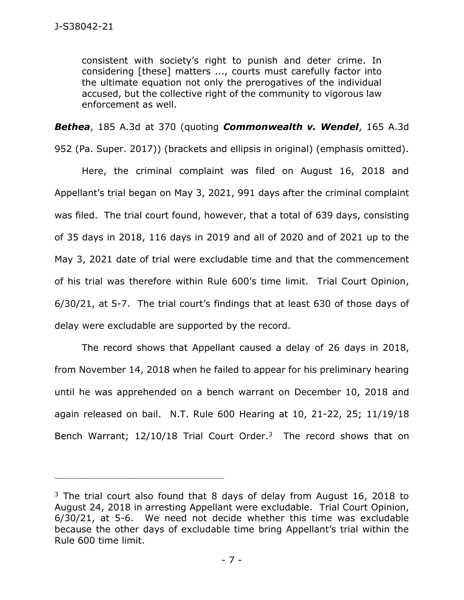consistent with society's right to punish and deter crime. In considering [these] matters ..., courts must carefully factor into the ultimate equation not only the prerogatives of the individual accused, but the collective right of the community to vigorous law enforcement as well.

*Bethea*, 185 A.3d at 370 (quoting *Commonwealth v. Wendel*, 165 A.3d

952 (Pa. Super. 2017)) (brackets and ellipsis in original) (emphasis omitted).

Here, the criminal complaint was filed on August 16, 2018 and Appellant's trial began on May 3, 2021, 991 days after the criminal complaint was filed. The trial court found, however, that a total of 639 days, consisting of 35 days in 2018, 116 days in 2019 and all of 2020 and of 2021 up to the May 3, 2021 date of trial were excludable time and that the commencement of his trial was therefore within Rule 600's time limit. Trial Court Opinion, 6/30/21, at 5-7. The trial court's findings that at least 630 of those days of delay were excludable are supported by the record.

The record shows that Appellant caused a delay of 26 days in 2018, from November 14, 2018 when he failed to appear for his preliminary hearing until he was apprehended on a bench warrant on December 10, 2018 and again released on bail. N.T. Rule 600 Hearing at 10, 21-22, 25; 11/19/18 Bench Warrant;  $12/10/18$  Trial Court Order.<sup>3</sup> The record shows that on

 $3$  The trial court also found that 8 days of delay from August 16, 2018 to August 24, 2018 in arresting Appellant were excludable. Trial Court Opinion, 6/30/21, at 5-6. We need not decide whether this time was excludable because the other days of excludable time bring Appellant's trial within the Rule 600 time limit.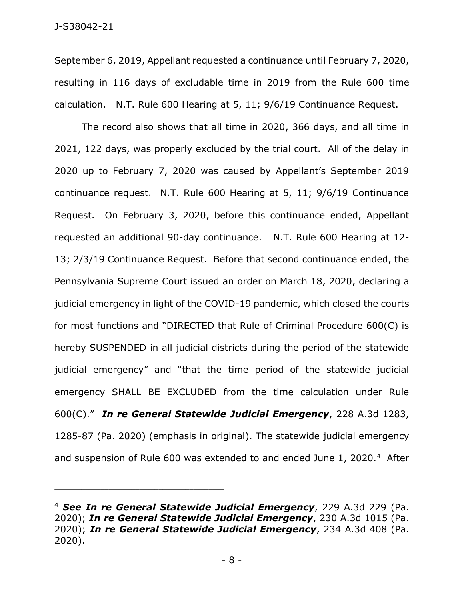September 6, 2019, Appellant requested a continuance until February 7, 2020, resulting in 116 days of excludable time in 2019 from the Rule 600 time calculation. N.T. Rule 600 Hearing at 5, 11; 9/6/19 Continuance Request.

The record also shows that all time in 2020, 366 days, and all time in 2021, 122 days, was properly excluded by the trial court. All of the delay in 2020 up to February 7, 2020 was caused by Appellant's September 2019 continuance request. N.T. Rule 600 Hearing at 5, 11; 9/6/19 Continuance Request. On February 3, 2020, before this continuance ended, Appellant requested an additional 90-day continuance. N.T. Rule 600 Hearing at 12- 13; 2/3/19 Continuance Request. Before that second continuance ended, the Pennsylvania Supreme Court issued an order on March 18, 2020, declaring a judicial emergency in light of the COVID-19 pandemic, which closed the courts for most functions and "DIRECTED that Rule of Criminal Procedure 600(C) is hereby SUSPENDED in all judicial districts during the period of the statewide judicial emergency" and "that the time period of the statewide judicial emergency SHALL BE EXCLUDED from the time calculation under Rule 600(C)." *In re General Statewide Judicial Emergency*, 228 A.3d 1283, 1285-87 (Pa. 2020) (emphasis in original). The statewide judicial emergency and suspension of Rule 600 was extended to and ended June 1, 2020.<sup>4</sup> After

<sup>4</sup> *See In re General Statewide Judicial Emergency*, 229 A.3d 229 (Pa. 2020); *In re General Statewide Judicial Emergency*, 230 A.3d 1015 (Pa. 2020); *In re General Statewide Judicial Emergency*, 234 A.3d 408 (Pa. 2020).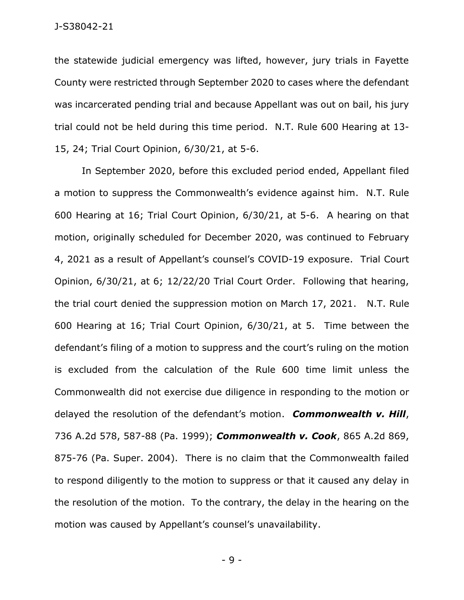J-S38042-21

the statewide judicial emergency was lifted, however, jury trials in Fayette County were restricted through September 2020 to cases where the defendant was incarcerated pending trial and because Appellant was out on bail, his jury trial could not be held during this time period. N.T. Rule 600 Hearing at 13- 15, 24; Trial Court Opinion, 6/30/21, at 5-6.

In September 2020, before this excluded period ended, Appellant filed a motion to suppress the Commonwealth's evidence against him. N.T. Rule 600 Hearing at 16; Trial Court Opinion, 6/30/21, at 5-6. A hearing on that motion, originally scheduled for December 2020, was continued to February 4, 2021 as a result of Appellant's counsel's COVID-19 exposure. Trial Court Opinion, 6/30/21, at 6; 12/22/20 Trial Court Order. Following that hearing, the trial court denied the suppression motion on March 17, 2021. N.T. Rule 600 Hearing at 16; Trial Court Opinion, 6/30/21, at 5. Time between the defendant's filing of a motion to suppress and the court's ruling on the motion is excluded from the calculation of the Rule 600 time limit unless the Commonwealth did not exercise due diligence in responding to the motion or delayed the resolution of the defendant's motion. *Commonwealth v. Hill*, 736 A.2d 578, 587-88 (Pa. 1999); *Commonwealth v. Cook*, 865 A.2d 869, 875-76 (Pa. Super. 2004). There is no claim that the Commonwealth failed to respond diligently to the motion to suppress or that it caused any delay in the resolution of the motion. To the contrary, the delay in the hearing on the motion was caused by Appellant's counsel's unavailability.

- 9 -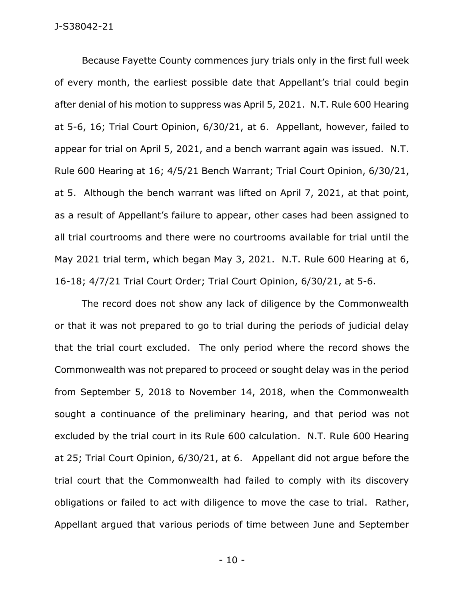Because Fayette County commences jury trials only in the first full week of every month, the earliest possible date that Appellant's trial could begin after denial of his motion to suppress was April 5, 2021. N.T. Rule 600 Hearing at 5-6, 16; Trial Court Opinion, 6/30/21, at 6. Appellant, however, failed to appear for trial on April 5, 2021, and a bench warrant again was issued. N.T. Rule 600 Hearing at 16; 4/5/21 Bench Warrant; Trial Court Opinion, 6/30/21, at 5. Although the bench warrant was lifted on April 7, 2021, at that point, as a result of Appellant's failure to appear, other cases had been assigned to all trial courtrooms and there were no courtrooms available for trial until the May 2021 trial term, which began May 3, 2021. N.T. Rule 600 Hearing at 6, 16-18; 4/7/21 Trial Court Order; Trial Court Opinion, 6/30/21, at 5-6.

The record does not show any lack of diligence by the Commonwealth or that it was not prepared to go to trial during the periods of judicial delay that the trial court excluded. The only period where the record shows the Commonwealth was not prepared to proceed or sought delay was in the period from September 5, 2018 to November 14, 2018, when the Commonwealth sought a continuance of the preliminary hearing, and that period was not excluded by the trial court in its Rule 600 calculation. N.T. Rule 600 Hearing at 25; Trial Court Opinion, 6/30/21, at 6. Appellant did not argue before the trial court that the Commonwealth had failed to comply with its discovery obligations or failed to act with diligence to move the case to trial. Rather, Appellant argued that various periods of time between June and September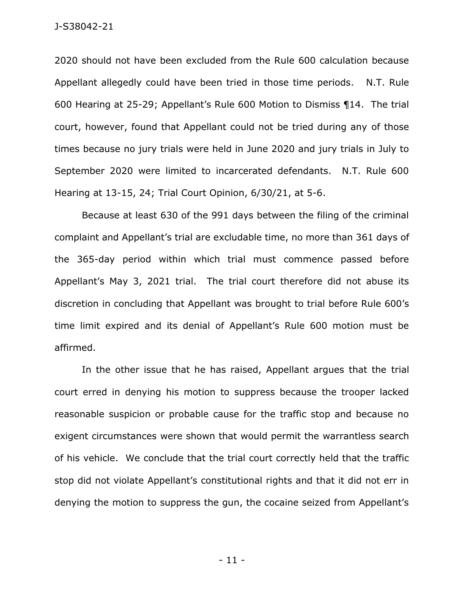J-S38042-21

2020 should not have been excluded from the Rule 600 calculation because Appellant allegedly could have been tried in those time periods. N.T. Rule 600 Hearing at 25-29; Appellant's Rule 600 Motion to Dismiss ¶14. The trial court, however, found that Appellant could not be tried during any of those times because no jury trials were held in June 2020 and jury trials in July to September 2020 were limited to incarcerated defendants. N.T. Rule 600 Hearing at 13-15, 24; Trial Court Opinion, 6/30/21, at 5-6.

Because at least 630 of the 991 days between the filing of the criminal complaint and Appellant's trial are excludable time, no more than 361 days of the 365-day period within which trial must commence passed before Appellant's May 3, 2021 trial. The trial court therefore did not abuse its discretion in concluding that Appellant was brought to trial before Rule 600's time limit expired and its denial of Appellant's Rule 600 motion must be affirmed.

In the other issue that he has raised, Appellant argues that the trial court erred in denying his motion to suppress because the trooper lacked reasonable suspicion or probable cause for the traffic stop and because no exigent circumstances were shown that would permit the warrantless search of his vehicle. We conclude that the trial court correctly held that the traffic stop did not violate Appellant's constitutional rights and that it did not err in denying the motion to suppress the gun, the cocaine seized from Appellant's

- 11 -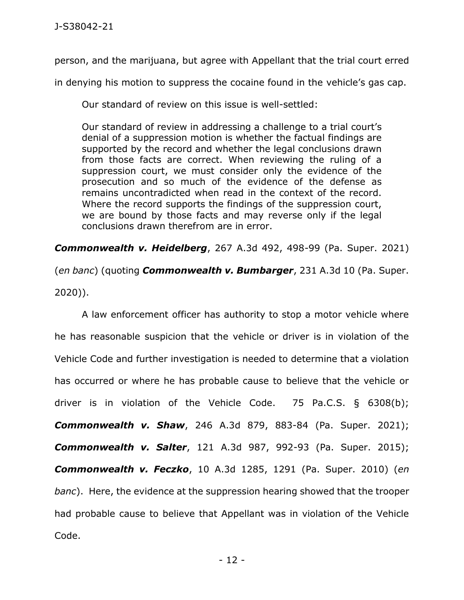person, and the marijuana, but agree with Appellant that the trial court erred

in denying his motion to suppress the cocaine found in the vehicle's gas cap.

Our standard of review on this issue is well-settled:

Our standard of review in addressing a challenge to a trial court's denial of a suppression motion is whether the factual findings are supported by the record and whether the legal conclusions drawn from those facts are correct. When reviewing the ruling of a suppression court, we must consider only the evidence of the prosecution and so much of the evidence of the defense as remains uncontradicted when read in the context of the record. Where the record supports the findings of the suppression court, we are bound by those facts and may reverse only if the legal conclusions drawn therefrom are in error.

*Commonwealth v. Heidelberg*, 267 A.3d 492, 498-99 (Pa. Super. 2021) (*en banc*) (quoting *Commonwealth v. Bumbarger*, 231 A.3d 10 (Pa. Super. 2020)).

A law enforcement officer has authority to stop a motor vehicle where he has reasonable suspicion that the vehicle or driver is in violation of the Vehicle Code and further investigation is needed to determine that a violation has occurred or where he has probable cause to believe that the vehicle or driver is in violation of the Vehicle Code. 75 Pa.C.S. § 6308(b); *Commonwealth v. Shaw*, 246 A.3d 879, 883-84 (Pa. Super. 2021); *Commonwealth v. Salter*, 121 A.3d 987, 992-93 (Pa. Super. 2015); *Commonwealth v. Feczko*, 10 A.3d 1285, 1291 (Pa. Super. 2010) (*en banc*). Here, the evidence at the suppression hearing showed that the trooper had probable cause to believe that Appellant was in violation of the Vehicle Code.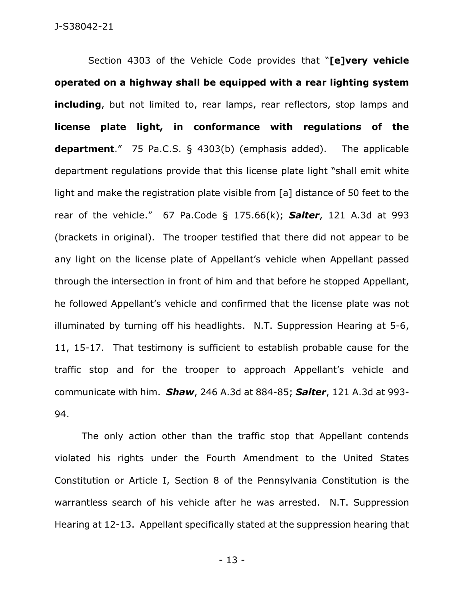Section 4303 of the Vehicle Code provides that "**[e]very vehicle operated on a highway shall be equipped with a rear lighting system including**, but not limited to, rear lamps, rear reflectors, stop lamps and **license plate light, in conformance with regulations of the department**." 75 Pa.C.S. § 4303(b) (emphasis added). The applicable department regulations provide that this license plate light "shall emit white light and make the registration plate visible from [a] distance of 50 feet to the rear of the vehicle." 67 Pa.Code § 175.66(k); *Salter*, 121 A.3d at 993 (brackets in original). The trooper testified that there did not appear to be any light on the license plate of Appellant's vehicle when Appellant passed through the intersection in front of him and that before he stopped Appellant, he followed Appellant's vehicle and confirmed that the license plate was not illuminated by turning off his headlights. N.T. Suppression Hearing at 5-6, 11, 15-17. That testimony is sufficient to establish probable cause for the traffic stop and for the trooper to approach Appellant's vehicle and communicate with him. *Shaw*, 246 A.3d at 884-85; *Salter*, 121 A.3d at 993- 94.

The only action other than the traffic stop that Appellant contends violated his rights under the Fourth Amendment to the United States Constitution or Article I, Section 8 of the Pennsylvania Constitution is the warrantless search of his vehicle after he was arrested. N.T. Suppression Hearing at 12-13. Appellant specifically stated at the suppression hearing that

- 13 -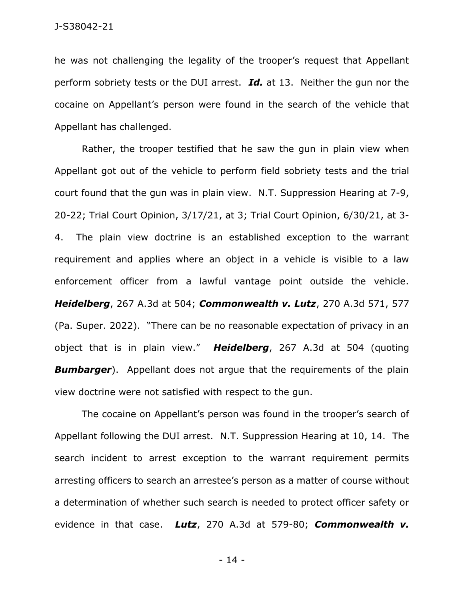he was not challenging the legality of the trooper's request that Appellant perform sobriety tests or the DUI arrest. *Id.* at 13. Neither the gun nor the cocaine on Appellant's person were found in the search of the vehicle that Appellant has challenged.

Rather, the trooper testified that he saw the gun in plain view when Appellant got out of the vehicle to perform field sobriety tests and the trial court found that the gun was in plain view. N.T. Suppression Hearing at 7-9, 20-22; Trial Court Opinion, 3/17/21, at 3; Trial Court Opinion, 6/30/21, at 3- 4. The plain view doctrine is an established exception to the warrant requirement and applies where an object in a vehicle is visible to a law enforcement officer from a lawful vantage point outside the vehicle. *Heidelberg*, 267 A.3d at 504; *Commonwealth v. Lutz*, 270 A.3d 571, 577 (Pa. Super. 2022). "There can be no reasonable expectation of privacy in an object that is in plain view." *Heidelberg*, 267 A.3d at 504 (quoting **Bumbarger**). Appellant does not argue that the requirements of the plain view doctrine were not satisfied with respect to the gun.

The cocaine on Appellant's person was found in the trooper's search of Appellant following the DUI arrest. N.T. Suppression Hearing at 10, 14. The search incident to arrest exception to the warrant requirement permits arresting officers to search an arrestee's person as a matter of course without a determination of whether such search is needed to protect officer safety or evidence in that case. *Lutz*, 270 A.3d at 579-80; *Commonwealth v.* 

- 14 -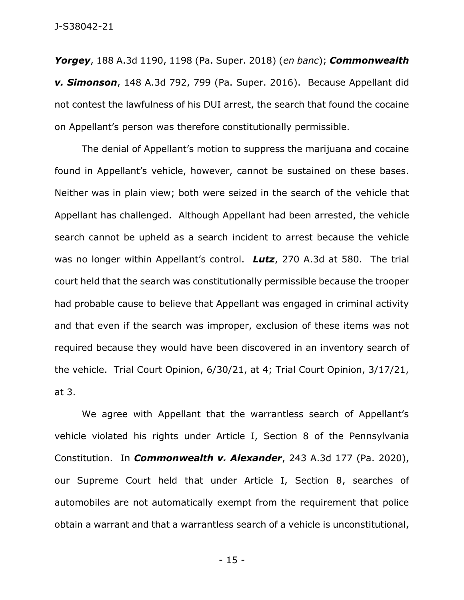*Yorgey*, 188 A.3d 1190, 1198 (Pa. Super. 2018) (*en banc*); *Commonwealth v. Simonson*, 148 A.3d 792, 799 (Pa. Super. 2016). Because Appellant did not contest the lawfulness of his DUI arrest, the search that found the cocaine on Appellant's person was therefore constitutionally permissible.

The denial of Appellant's motion to suppress the marijuana and cocaine found in Appellant's vehicle, however, cannot be sustained on these bases. Neither was in plain view; both were seized in the search of the vehicle that Appellant has challenged. Although Appellant had been arrested, the vehicle search cannot be upheld as a search incident to arrest because the vehicle was no longer within Appellant's control. *Lutz*, 270 A.3d at 580. The trial court held that the search was constitutionally permissible because the trooper had probable cause to believe that Appellant was engaged in criminal activity and that even if the search was improper, exclusion of these items was not required because they would have been discovered in an inventory search of the vehicle. Trial Court Opinion, 6/30/21, at 4; Trial Court Opinion, 3/17/21, at 3.

We agree with Appellant that the warrantless search of Appellant's vehicle violated his rights under Article I, Section 8 of the Pennsylvania Constitution. In *Commonwealth v. Alexander*, 243 A.3d 177 (Pa. 2020), our Supreme Court held that under Article I, Section 8, searches of automobiles are not automatically exempt from the requirement that police obtain a warrant and that a warrantless search of a vehicle is unconstitutional,

- 15 -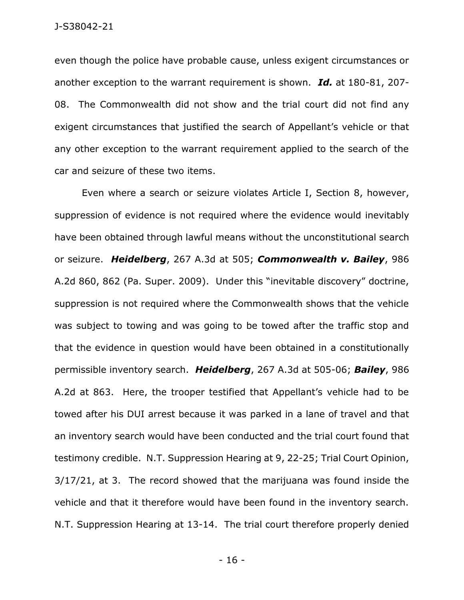even though the police have probable cause, unless exigent circumstances or another exception to the warrant requirement is shown. *Id.* at 180-81, 207- 08. The Commonwealth did not show and the trial court did not find any exigent circumstances that justified the search of Appellant's vehicle or that any other exception to the warrant requirement applied to the search of the car and seizure of these two items.

Even where a search or seizure violates Article I, Section 8, however, suppression of evidence is not required where the evidence would inevitably have been obtained through lawful means without the unconstitutional search or seizure. *Heidelberg*, 267 A.3d at 505; *Commonwealth v. Bailey*, 986 A.2d 860, 862 (Pa. Super. 2009). Under this "inevitable discovery" doctrine, suppression is not required where the Commonwealth shows that the vehicle was subject to towing and was going to be towed after the traffic stop and that the evidence in question would have been obtained in a constitutionally permissible inventory search. *Heidelberg*, 267 A.3d at 505-06; *Bailey*, 986 A.2d at 863. Here, the trooper testified that Appellant's vehicle had to be towed after his DUI arrest because it was parked in a lane of travel and that an inventory search would have been conducted and the trial court found that testimony credible. N.T. Suppression Hearing at 9, 22-25; Trial Court Opinion, 3/17/21, at 3. The record showed that the marijuana was found inside the vehicle and that it therefore would have been found in the inventory search. N.T. Suppression Hearing at 13-14. The trial court therefore properly denied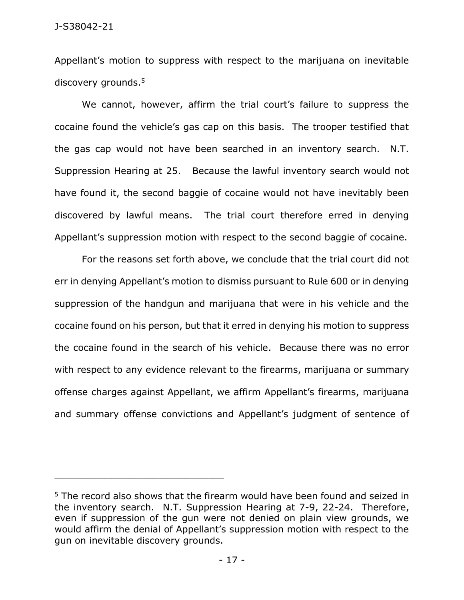Appellant's motion to suppress with respect to the marijuana on inevitable discovery grounds.<sup>5</sup>

We cannot, however, affirm the trial court's failure to suppress the cocaine found the vehicle's gas cap on this basis. The trooper testified that the gas cap would not have been searched in an inventory search. N.T. Suppression Hearing at 25. Because the lawful inventory search would not have found it, the second baggie of cocaine would not have inevitably been discovered by lawful means. The trial court therefore erred in denying Appellant's suppression motion with respect to the second baggie of cocaine.

For the reasons set forth above, we conclude that the trial court did not err in denying Appellant's motion to dismiss pursuant to Rule 600 or in denying suppression of the handgun and marijuana that were in his vehicle and the cocaine found on his person, but that it erred in denying his motion to suppress the cocaine found in the search of his vehicle. Because there was no error with respect to any evidence relevant to the firearms, marijuana or summary offense charges against Appellant, we affirm Appellant's firearms, marijuana and summary offense convictions and Appellant's judgment of sentence of

<sup>&</sup>lt;sup>5</sup> The record also shows that the firearm would have been found and seized in the inventory search. N.T. Suppression Hearing at 7-9, 22-24. Therefore, even if suppression of the gun were not denied on plain view grounds, we would affirm the denial of Appellant's suppression motion with respect to the gun on inevitable discovery grounds.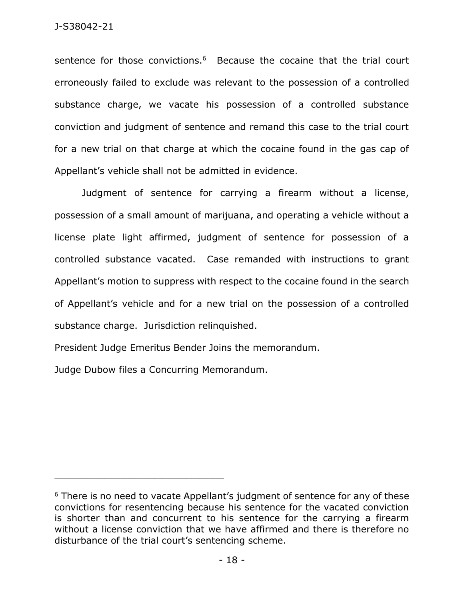sentence for those convictions.<sup>6</sup> Because the cocaine that the trial court erroneously failed to exclude was relevant to the possession of a controlled substance charge, we vacate his possession of a controlled substance conviction and judgment of sentence and remand this case to the trial court for a new trial on that charge at which the cocaine found in the gas cap of Appellant's vehicle shall not be admitted in evidence.

Judgment of sentence for carrying a firearm without a license, possession of a small amount of marijuana, and operating a vehicle without a license plate light affirmed, judgment of sentence for possession of a controlled substance vacated. Case remanded with instructions to grant Appellant's motion to suppress with respect to the cocaine found in the search of Appellant's vehicle and for a new trial on the possession of a controlled substance charge. Jurisdiction relinquished.

President Judge Emeritus Bender Joins the memorandum.

Judge Dubow files a Concurring Memorandum.

<sup>&</sup>lt;sup>6</sup> There is no need to vacate Appellant's judgment of sentence for any of these convictions for resentencing because his sentence for the vacated conviction is shorter than and concurrent to his sentence for the carrying a firearm without a license conviction that we have affirmed and there is therefore no disturbance of the trial court's sentencing scheme.